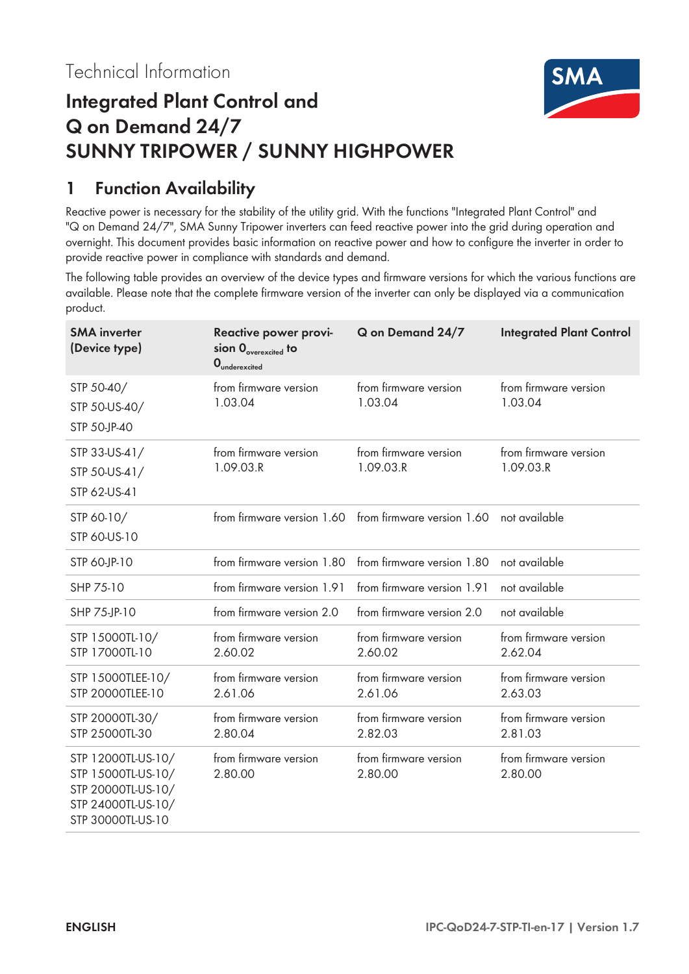

# **Integrated Plant Control and Q on Demand 24/7 SUNNY TRIPOWER / SUNNY HIGHPOWER**

## **1 Function Availability**

Reactive power is necessary for the stability of the utility grid. With the functions "Integrated Plant Control" and "Q on Demand 24/7", SMA Sunny Tripower inverters can feed reactive power into the grid during operation and overnight. This document provides basic information on reactive power and how to configure the inverter in order to provide reactive power in compliance with standards and demand.

The following table provides an overview of the device types and firmware versions for which the various functions are available. Please note that the complete firmware version of the inverter can only be displayed via a communication product.

| <b>SMA</b> inverter<br>(Device type)                                                                      | Reactive power provi-<br>sion $0_{\text{overexcited}}$ to<br>$0$ <sub>underexcited</sub> | Q on Demand 24/7                   | <b>Integrated Plant Control</b>    |
|-----------------------------------------------------------------------------------------------------------|------------------------------------------------------------------------------------------|------------------------------------|------------------------------------|
| STP 50-40/<br>STP 50-US-40/<br>STP 50-JP-40                                                               | from firmware version<br>1.03.04                                                         | from firmware version<br>1.03.04   | from firmware version<br>1.03.04   |
| STP 33-US-41/<br>STP 50-US-41/<br>STP 62-US-41                                                            | from firmware version<br>1.09.03.R                                                       | from firmware version<br>1.09.03.R | from firmware version<br>1.09.03.R |
| STP 60-10/<br>STP 60-US-10                                                                                | from firmware version 1.60 from firmware version 1.60                                    |                                    | not available                      |
| STP 60-JP-10                                                                                              | from firmware version 1.80                                                               | from firmware version 1.80         | not available                      |
| SHP 75-10                                                                                                 | from firmware version 1.91                                                               | from firmware version 1.91         | not available                      |
| SHP 75-JP-10                                                                                              | from firmware version 2.0                                                                | from firmware version 2.0          | not available                      |
| STP 15000TL-10/<br>STP 17000TL-10                                                                         | from firmware version<br>2.60.02                                                         | from firmware version<br>2.60.02   | from firmware version<br>2.62.04   |
| STP 15000TLEE-10/<br>STP 20000TLEE-10                                                                     | from firmware version<br>2.61.06                                                         | from firmware version<br>2.61.06   | from firmware version<br>2.63.03   |
| STP 20000TL-30/<br>STP 25000TL-30                                                                         | from firmware version<br>2.80.04                                                         | from firmware version<br>2.82.03   | from firmware version<br>2.81.03   |
| STP 12000TL-US-10/<br>STP 15000TL-US-10/<br>STP 20000TL-US-10/<br>STP 24000TL-US-10/<br>STP 30000TL-US-10 | from firmware version<br>2.80.00                                                         | from firmware version<br>2.80.00   | from firmware version<br>2.80.00   |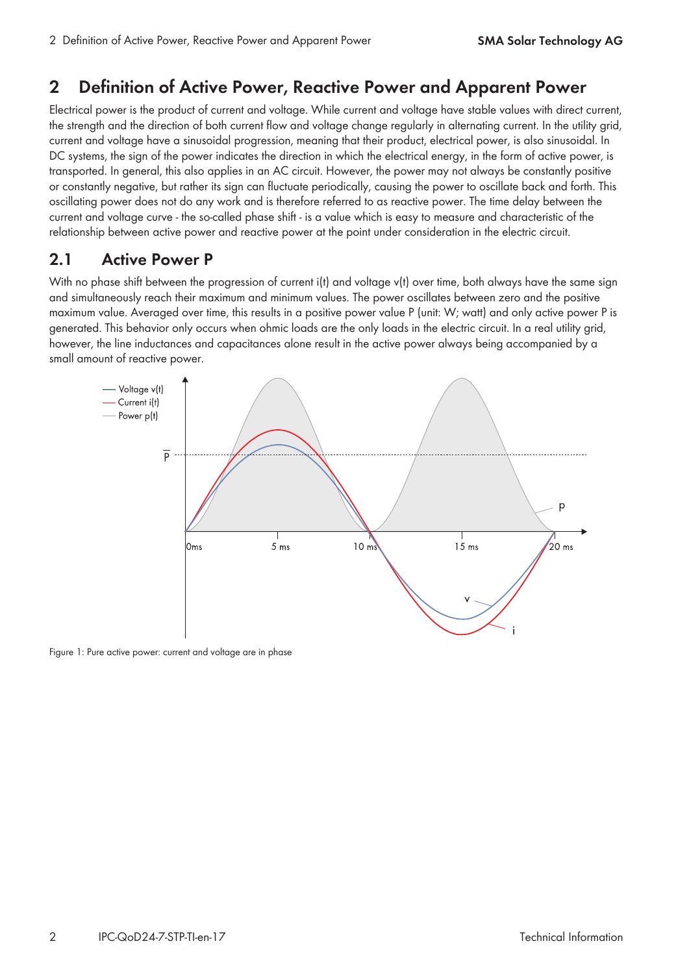### **2 Definition of Active Power, Reactive Power and Apparent Power**

Electrical power is the product of current and voltage. While current and voltage have stable values with direct current, the strength and the direction of both current flow and voltage change regularly in alternating current. In the utility grid, current and voltage have a sinusoidal progression, meaning that their product, electrical power, is also sinusoidal. In DC systems, the sign of the power indicates the direction in which the electrical energy, in the form of active power, is transported. In general, this also applies in an AC circuit. However, the power may not always be constantly positive or constantly negative, but rather its sign can fluctuate periodically, causing the power to oscillate back and forth. This oscillating power does not do any work and is therefore referred to as reactive power. The time delay between the current and voltage curve - the so-called phase shift - is a value which is easy to measure and characteristic of the relationship between active power and reactive power at the point under consideration in the electric circuit.

### **2.1 Active Power P**

With no phase shift between the progression of current i(t) and voltage v(t) over time, both always have the same sign and simultaneously reach their maximum and minimum values. The power oscillates between zero and the positive maximum value. Averaged over time, this results in a positive power value P (unit: W; watt) and only active power P is generated. This behavior only occurs when ohmic loads are the only loads in the electric circuit. In a real utility grid, however, the line inductances and capacitances alone result in the active power always being accompanied by a small amount of reactive power.



Figure 1: Pure active power: current and voltage are in phase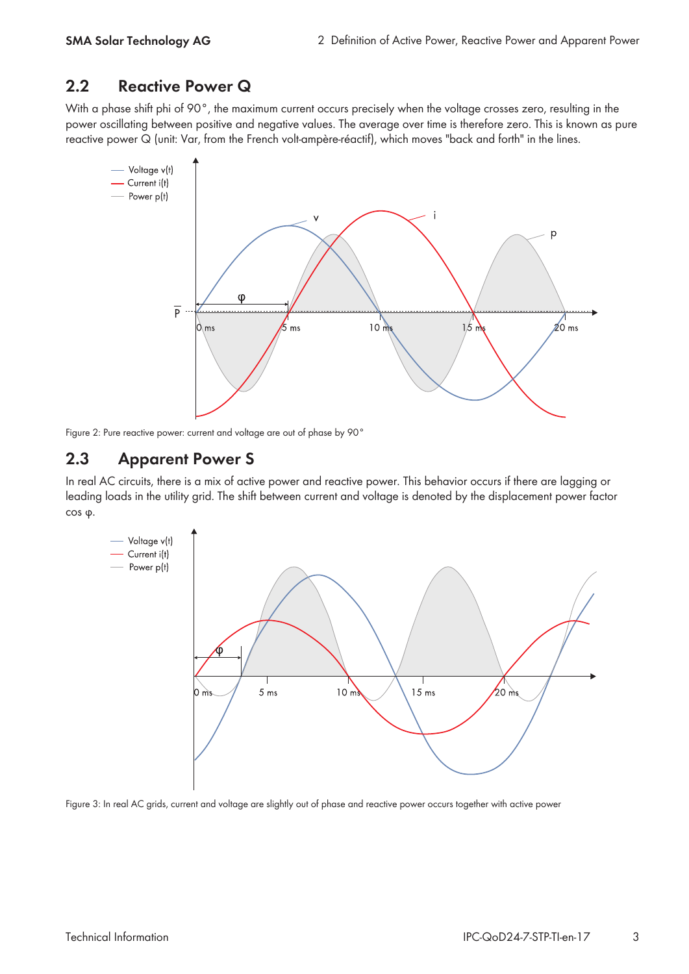### **2.2 Reactive Power Q**

With a phase shift phi of 90°, the maximum current occurs precisely when the voltage crosses zero, resulting in the power oscillating between positive and negative values. The average over time is therefore zero. This is known as pure reactive power Q (unit: Var, from the French volt-ampère-réactif), which moves "back and forth" in the lines.



Figure 2: Pure reactive power: current and voltage are out of phase by 90°

### **2.3 Apparent Power S**

In real AC circuits, there is a mix of active power and reactive power. This behavior occurs if there are lagging or leading loads in the utility grid. The shift between current and voltage is denoted by the displacement power factor cos φ.



Figure 3: In real AC grids, current and voltage are slightly out of phase and reactive power occurs together with active power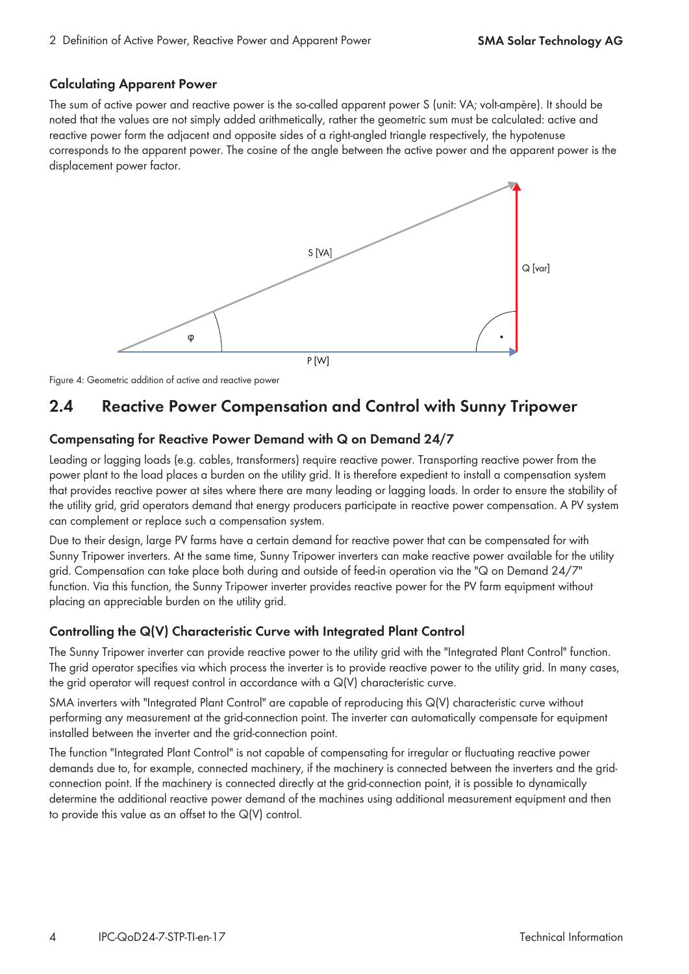#### **Calculating Apparent Power**

The sum of active power and reactive power is the so-called apparent power S (unit: VA; volt-ampère). It should be noted that the values are not simply added arithmetically, rather the geometric sum must be calculated: active and reactive power form the adjacent and opposite sides of a right-angled triangle respectively, the hypotenuse corresponds to the apparent power. The cosine of the angle between the active power and the apparent power is the displacement power factor.



Figure 4: Geometric addition of active and reactive power

### **2.4 Reactive Power Compensation and Control with Sunny Tripower**

#### **Compensating for Reactive Power Demand with Q on Demand 24/7**

Leading or lagging loads (e.g. cables, transformers) require reactive power. Transporting reactive power from the power plant to the load places a burden on the utility grid. It is therefore expedient to install a compensation system that provides reactive power at sites where there are many leading or lagging loads. In order to ensure the stability of the utility grid, grid operators demand that energy producers participate in reactive power compensation. A PV system can complement or replace such a compensation system.

Due to their design, large PV farms have a certain demand for reactive power that can be compensated for with Sunny Tripower inverters. At the same time, Sunny Tripower inverters can make reactive power available for the utility grid. Compensation can take place both during and outside of feed-in operation via the "Q on Demand 24/7" function. Via this function, the Sunny Tripower inverter provides reactive power for the PV farm equipment without placing an appreciable burden on the utility grid.

#### **Controlling the Q(V) Characteristic Curve with Integrated Plant Control**

The Sunny Tripower inverter can provide reactive power to the utility grid with the "Integrated Plant Control" function. The grid operator specifies via which process the inverter is to provide reactive power to the utility grid. In many cases, the grid operator will request control in accordance with a Q(V) characteristic curve.

SMA inverters with "Integrated Plant Control" are capable of reproducing this Q(V) characteristic curve without performing any measurement at the grid-connection point. The inverter can automatically compensate for equipment installed between the inverter and the grid-connection point.

The function "Integrated Plant Control" is not capable of compensating for irregular or fluctuating reactive power demands due to, for example, connected machinery, if the machinery is connected between the inverters and the gridconnection point. If the machinery is connected directly at the grid-connection point, it is possible to dynamically determine the additional reactive power demand of the machines using additional measurement equipment and then to provide this value as an offset to the Q(V) control.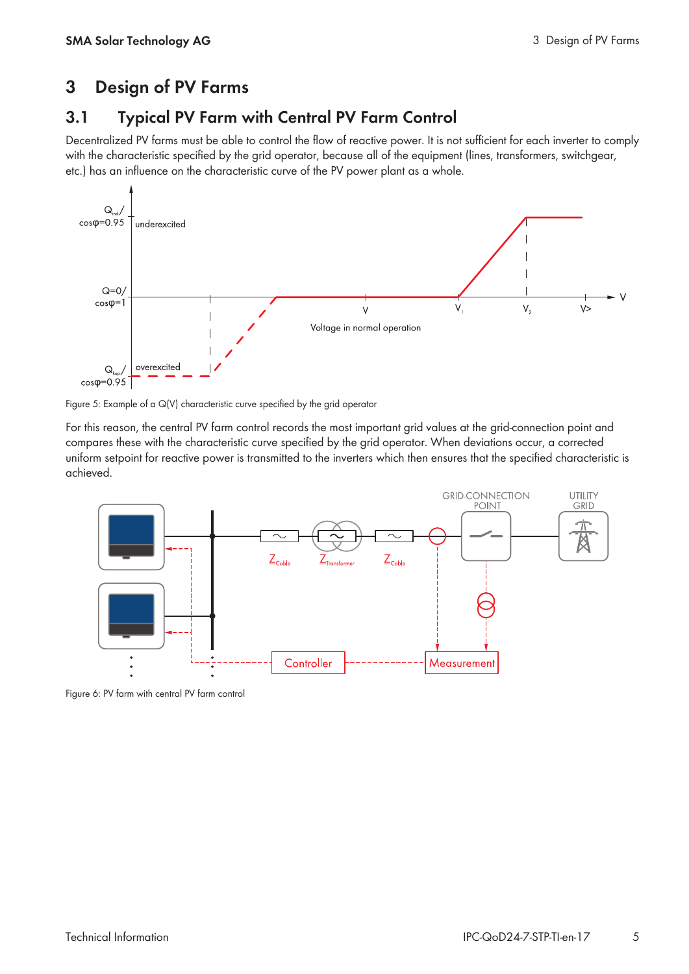## **3 Design of PV Farms**

### **3.1 Typical PV Farm with Central PV Farm Control**

Decentralized PV farms must be able to control the flow of reactive power. It is not sufficient for each inverter to comply with the characteristic specified by the grid operator, because all of the equipment (lines, transformers, switchgear, etc.) has an influence on the characteristic curve of the PV power plant as a whole.



Figure 5: Example of a Q(V) characteristic curve specified by the grid operator

For this reason, the central PV farm control records the most important grid values at the grid-connection point and compares these with the characteristic curve specified by the grid operator. When deviations occur, a corrected uniform setpoint for reactive power is transmitted to the inverters which then ensures that the specified characteristic is achieved.



Figure 6: PV farm with central PV farm control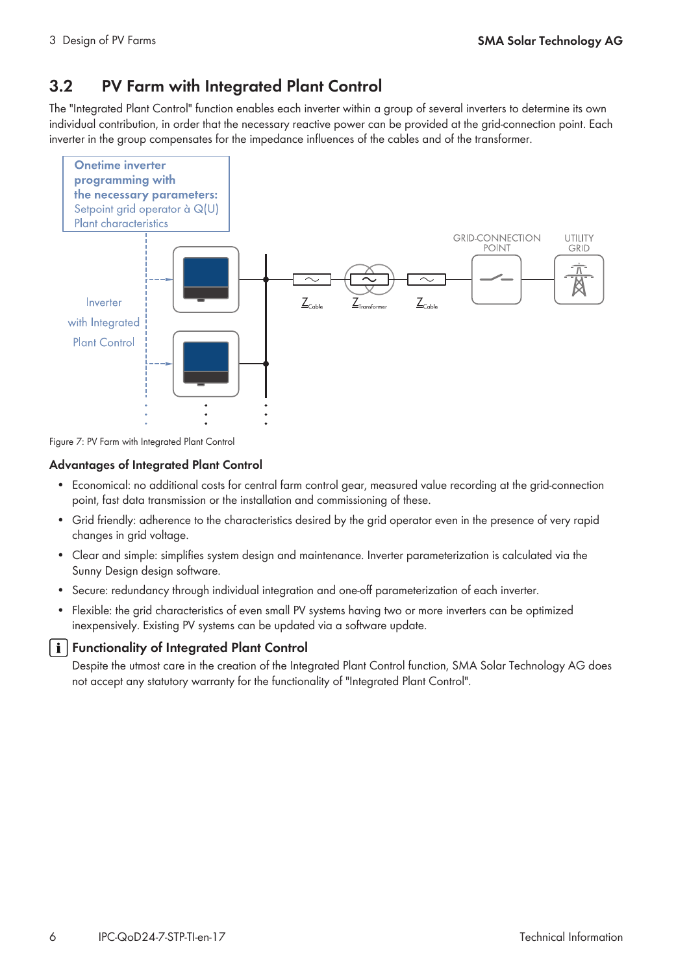## **3.2 PV Farm with Integrated Plant Control**

The "Integrated Plant Control" function enables each inverter within a group of several inverters to determine its own individual contribution, in order that the necessary reactive power can be provided at the grid-connection point. Each inverter in the group compensates for the impedance influences of the cables and of the transformer.



Figure 7: PV Farm with Integrated Plant Control

#### **Advantages of Integrated Plant Control**

- Economical: no additional costs for central farm control gear, measured value recording at the grid-connection point, fast data transmission or the installation and commissioning of these.
- Grid friendly: adherence to the characteristics desired by the grid operator even in the presence of very rapid changes in grid voltage.
- Clear and simple: simplifies system design and maintenance. Inverter parameterization is calculated via the Sunny Design design software.
- Secure: redundancy through individual integration and one-off parameterization of each inverter.
- Flexible: the grid characteristics of even small PV systems having two or more inverters can be optimized inexpensively. Existing PV systems can be updated via a software update.

#### **i** | Functionality of Integrated Plant Control

Despite the utmost care in the creation of the Integrated Plant Control function, SMA Solar Technology AG does not accept any statutory warranty for the functionality of "Integrated Plant Control".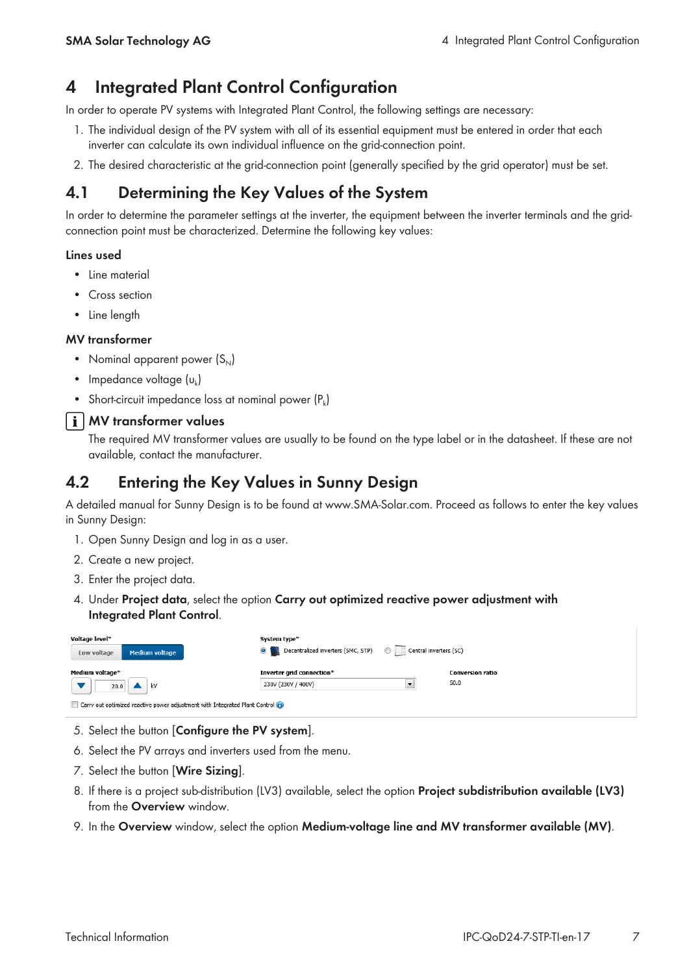## **4 Integrated Plant Control Configuration**

In order to operate PV systems with Integrated Plant Control, the following settings are necessary:

- 1. The individual design of the PV system with all of its essential equipment must be entered in order that each inverter can calculate its own individual influence on the grid-connection point.
- 2. The desired characteristic at the grid-connection point (generally specified by the grid operator) must be set.

## **4.1 Determining the Key Values of the System**

In order to determine the parameter settings at the inverter, the equipment between the inverter terminals and the gridconnection point must be characterized. Determine the following key values:

#### **Lines used**

- Line material
- Cross section
- Line length

#### **MV transformer**

- Nominal apparent power  $(S_{N})$
- Impedance voltage  $(u_k)$
- Short-circuit impedance loss at nominal power  $(P_k)$

#### **MV transformer values**

The required MV transformer values are usually to be found on the type label or in the datasheet. If these are not available, contact the manufacturer.

### **4.2 Entering the Key Values in Sunny Design**

A detailed manual for Sunny Design is to be found at [www.SMA-Solar.com](http://www.SMA-Solar.com). Proceed as follows to enter the key values in Sunny Design:

- 1. Open Sunny Design and log in as a user.
- 2. Create a new project.
- 3. Enter the project data.
- 4. Under **Project data**, select the option **Carry out optimized reactive power adjustment with Integrated Plant Control**.

| Voltage level*<br><b>Medium voltage</b><br>Low voltage                      | System type*<br>Decentralized inverters (SMC, STP)<br>$\circledcirc$<br>Central inverters (SC) |                  |
|-----------------------------------------------------------------------------|------------------------------------------------------------------------------------------------|------------------|
| Medium voltage*                                                             | Inverter grid connection*                                                                      | Conversion ratio |
| κV<br>20.0                                                                  | 230V (230V / 400V)<br>$\overline{\phantom{a}}$                                                 | 50.0             |
| Carry out optimized reactive power adjustment with Integrated Plant Control |                                                                                                |                  |

- 5. Select the button [**Configure the PV system**].
- 6. Select the PV arrays and inverters used from the menu.
- 7. Select the button [**Wire Sizing**].
- 8. If there is a project sub-distribution (LV3) available, select the option **Project subdistribution available (LV3)** from the **Overview** window.
- 9. In the **Overview** window, select the option **Medium-voltage line and MV transformer available (MV)**.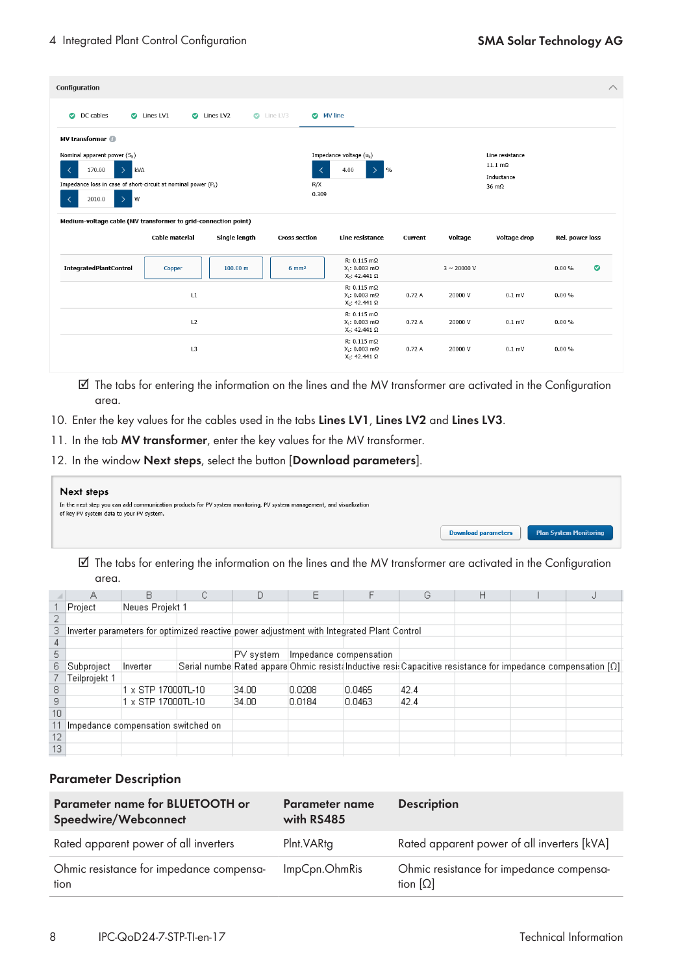| Configuration                                                                                                                                                                                               |                |               |                                        |                                                                       |         |                          |                                                                                 |                        |           |
|-------------------------------------------------------------------------------------------------------------------------------------------------------------------------------------------------------------|----------------|---------------|----------------------------------------|-----------------------------------------------------------------------|---------|--------------------------|---------------------------------------------------------------------------------|------------------------|-----------|
| DC cables<br>$\bullet$                                                                                                                                                                                      | C Lines LV1    | C Lines LV2   | <b>O</b> MV line<br>$\bullet$ Line LV3 |                                                                       |         |                          |                                                                                 |                        |           |
| MV transformer @                                                                                                                                                                                            |                |               |                                        |                                                                       |         |                          |                                                                                 |                        |           |
| Nominal apparent power $(S_N)$<br>170.00<br>$\overline{\left\langle \right\rangle }$<br>kVA<br>↘<br>Impedance loss in case of short-circuit at nominal power $(P_k)$<br>$\rightarrow$<br>≺<br>l w<br>2010.0 |                |               | ≺<br>R/X<br>0.309                      | Impedance voltage (uk)<br>$\frac{9}{6}$<br>4.00<br>$\mathcal{P}$      |         |                          | Line resistance<br>$11.1 \text{ m}\Omega$<br>Inductance<br>$36 \text{ m}\Omega$ |                        |           |
| Medium-voltage cable (MV transformer to grid-connection point)                                                                                                                                              |                | Single length |                                        |                                                                       |         |                          |                                                                                 |                        |           |
|                                                                                                                                                                                                             | Cable material |               | <b>Cross section</b>                   | Line resistance                                                       | Current | Voltage                  | Voltage drop                                                                    | <b>Rel. power loss</b> |           |
|                                                                                                                                                                                                             | Copper         | 100.00 m      | $6 \, \text{mm}^2$                     | $R: 0.115$ m $\Omega$<br>$X1$ : 0.003 mΩ<br>$XC: 42.441 \Omega$       |         | $3 \sim 20000 \text{ V}$ |                                                                                 | 0.00%                  |           |
|                                                                                                                                                                                                             | L1             |               |                                        | $R: 0.115$ m $\Omega$<br>$Xi$ : 0.003 mΩ<br>X <sub>C</sub> : 42.441 Ω | 0.72A   | 20000 V                  | $0.1$ mV                                                                        | 0.00%                  |           |
| <b>IntegratedPlantControl</b>                                                                                                                                                                               | L2             |               |                                        | $R: 0.115$ m $\Omega$<br>$X_1$ : 0.003 mΩ<br>$Xc: 42.441 \Omega$      | 0.72A   | 20000 V                  | $0.1$ mV                                                                        | 0.00%                  | $\bullet$ |

- ☑ The tabs for entering the information on the lines and the MV transformer are activated in the Configuration area.
- 10. Enter the key values for the cables used in the tabs **Lines LV1**, **Lines LV2** and **Lines LV3**.
- 11. In the tab **MV transformer**, enter the key values for the MV transformer.
- 12. In the window **Next steps**, select the button [**Download parameters**].

| Next steps                                                                                                                                                        |                            |                               |
|-------------------------------------------------------------------------------------------------------------------------------------------------------------------|----------------------------|-------------------------------|
| In the next step you can add communication products for PV system monitoring, PV system management, and visualization<br>of key PV system data to your PV system. |                            |                               |
|                                                                                                                                                                   | <b>Download parameters</b> | <b>Plan System Monitoring</b> |

☑ The tabs for entering the information on the lines and the MV transformer are activated in the Configuration area.

|    |                                    | R                  |                                                                                           |              |                        |        | G    | н |                                                                                                                    |
|----|------------------------------------|--------------------|-------------------------------------------------------------------------------------------|--------------|------------------------|--------|------|---|--------------------------------------------------------------------------------------------------------------------|
|    | Project                            | Neues Projekt 1    |                                                                                           |              |                        |        |      |   |                                                                                                                    |
|    |                                    |                    |                                                                                           |              |                        |        |      |   |                                                                                                                    |
| 3. |                                    |                    | Inverter parameters for optimized reactive power adjustment with Integrated Plant Control |              |                        |        |      |   |                                                                                                                    |
|    |                                    |                    |                                                                                           |              |                        |        |      |   |                                                                                                                    |
| 5  |                                    |                    |                                                                                           | IPV system i | Impedance compensation |        |      |   |                                                                                                                    |
| 6. | Subproject                         | Inverter           |                                                                                           |              |                        |        |      |   | Serial numbe Rated appare Ohmic resist Inductive resi: Capacitive resistance for impedance compensation $[\Omega]$ |
|    | Teilprojekt 1                      |                    |                                                                                           |              |                        |        |      |   |                                                                                                                    |
| 8  |                                    | 1 x STP 17000TL-10 |                                                                                           | 34.00        | 0.0208                 | 0.0465 | 42.4 |   |                                                                                                                    |
| 9  |                                    | 1 x STP 17000TL-10 |                                                                                           | 34.00        | 0.0184                 | 0.0463 | 42.4 |   |                                                                                                                    |
| 10 |                                    |                    |                                                                                           |              |                        |        |      |   |                                                                                                                    |
|    | Impedance compensation switched on |                    |                                                                                           |              |                        |        |      |   |                                                                                                                    |
| 12 |                                    |                    |                                                                                           |              |                        |        |      |   |                                                                                                                    |
| 13 |                                    |                    |                                                                                           |              |                        |        |      |   |                                                                                                                    |

#### **Parameter Description**

| Parameter name for BLUETOOTH or<br>Speedwire/Webconnect | <b>Parameter name</b><br>with RS485 | <b>Description</b>                                          |
|---------------------------------------------------------|-------------------------------------|-------------------------------------------------------------|
| Rated apparent power of all inverters                   | Plnt.VARtg                          | Rated apparent power of all inverters [kVA]                 |
| Ohmic resistance for impedance compensa-<br>tion        | ImpCpn.OhmRis                       | Ohmic resistance for impedance compensa-<br>tion $[\Omega]$ |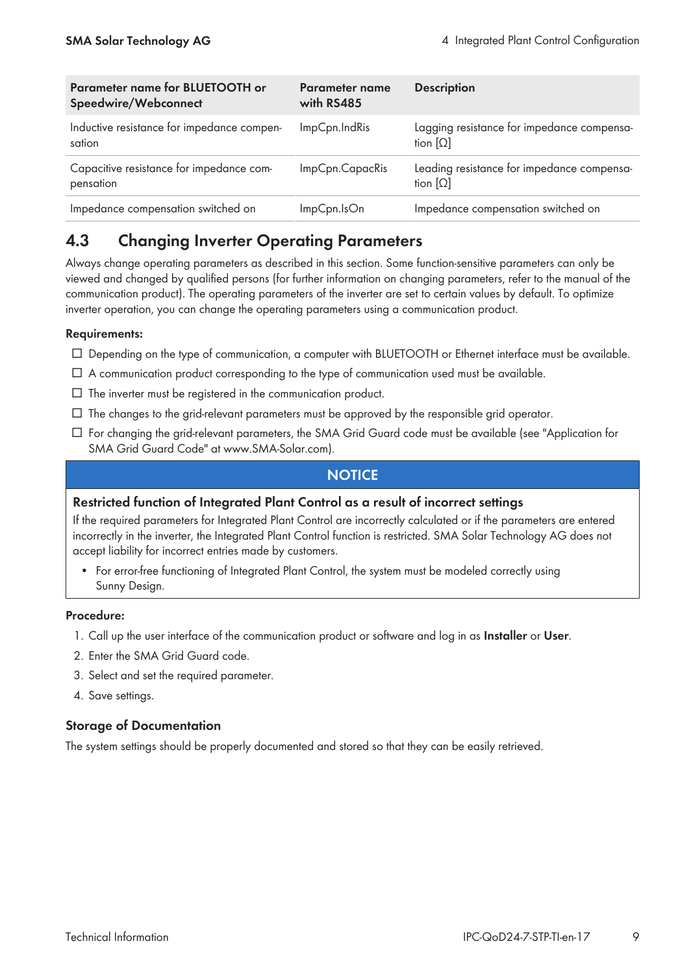| <b>Parameter name for BLUETOOTH or</b><br>Speedwire/Webconnect | Parameter name<br>with RS485 | <b>Description</b>                                            |
|----------------------------------------------------------------|------------------------------|---------------------------------------------------------------|
| Inductive resistance for impedance compen-<br>sation           | ImpCpn.IndRis                | Lagging resistance for impedance compensa-<br>tion $[\Omega]$ |
| Capacitive resistance for impedance com-<br>pensation          | ImpCpn.CapacRis              | Leading resistance for impedance compensa-<br>tion $[\Omega]$ |
| Impedance compensation switched on                             | ImpCpn.IsOn                  | Impedance compensation switched on                            |

## **4.3 Changing Inverter Operating Parameters**

Always change operating parameters as described in this section. Some function-sensitive parameters can only be viewed and changed by qualified persons (for further information on changing parameters, refer to the manual of the communication product). The operating parameters of the inverter are set to certain values by default. To optimize inverter operation, you can change the operating parameters using a communication product.

#### **Requirements:**

- ☐ Depending on the type of communication, a computer with BLUETOOTH or Ethernet interface must be available.
- ☐ A communication product corresponding to the type of communication used must be available.
- $\Box$  The inverter must be registered in the communication product.
- $\Box$  The changes to the grid-relevant parameters must be approved by the responsible grid operator.
- ☐ For changing the grid-relevant parameters, the SMA Grid Guard code must be available (see "Application for SMA Grid Guard Code" at [www.SMA-Solar.com\)](http://www.SMA-Solar.com).

#### **NOTICE**

#### **Restricted function of Integrated Plant Control as a result of incorrect settings**

If the required parameters for Integrated Plant Control are incorrectly calculated or if the parameters are entered incorrectly in the inverter, the Integrated Plant Control function is restricted. SMA Solar Technology AG does not accept liability for incorrect entries made by customers.

• For error-free functioning of Integrated Plant Control, the system must be modeled correctly using Sunny Design.

#### **Procedure:**

- 1. Call up the user interface of the communication product or software and log in as **Installer** or **User**.
- 2. Enter the SMA Grid Guard code.
- 3. Select and set the required parameter.
- 4. Save settings.

#### **Storage of Documentation**

The system settings should be properly documented and stored so that they can be easily retrieved.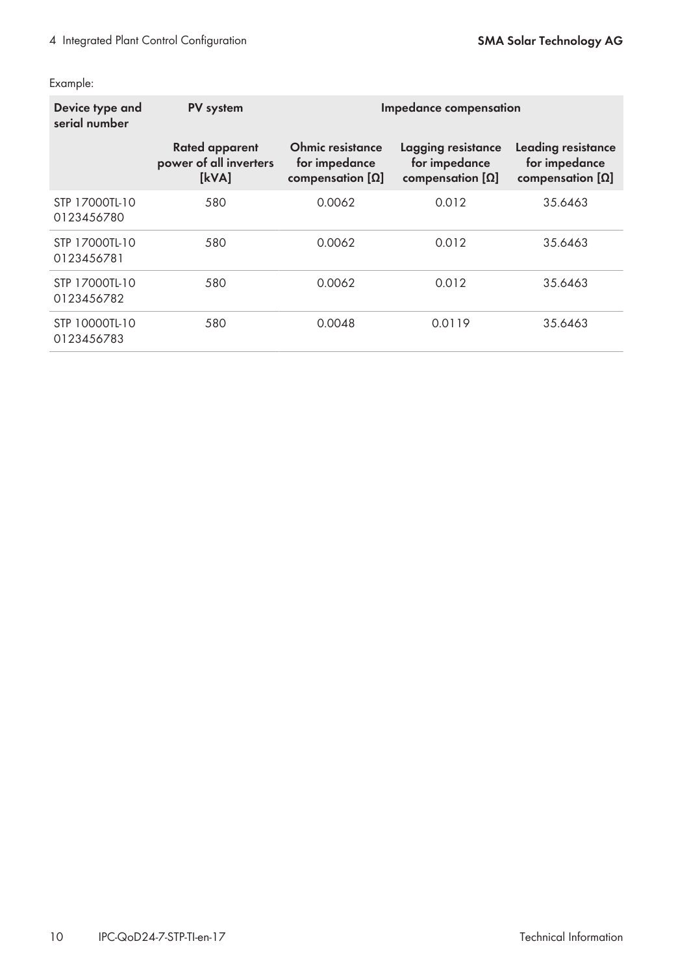Example:

| Device type and<br>serial number | PV system                                                | Impedance compensation                                       |                                                                |                                                                |  |
|----------------------------------|----------------------------------------------------------|--------------------------------------------------------------|----------------------------------------------------------------|----------------------------------------------------------------|--|
|                                  | <b>Rated apparent</b><br>power of all inverters<br>[kVA] | Ohmic resistance<br>for impedance<br>compensation $[\Omega]$ | Lagging resistance<br>for impedance<br>compensation $[\Omega]$ | Leading resistance<br>for impedance<br>compensation $[\Omega]$ |  |
| STP 17000TL-10<br>0123456780     | 580                                                      | 0.0062                                                       | 0.012                                                          | 35.6463                                                        |  |
| STP 17000TL-10<br>0123456781     | 580                                                      | 0.0062                                                       | 0.012                                                          | 35.6463                                                        |  |
| STP 17000TL-10<br>0123456782     | 580                                                      | 0.0062                                                       | 0.012                                                          | 35.6463                                                        |  |
| STP 10000TL-10<br>0123456783     | 580                                                      | 0.0048                                                       | 0.0119                                                         | 35.6463                                                        |  |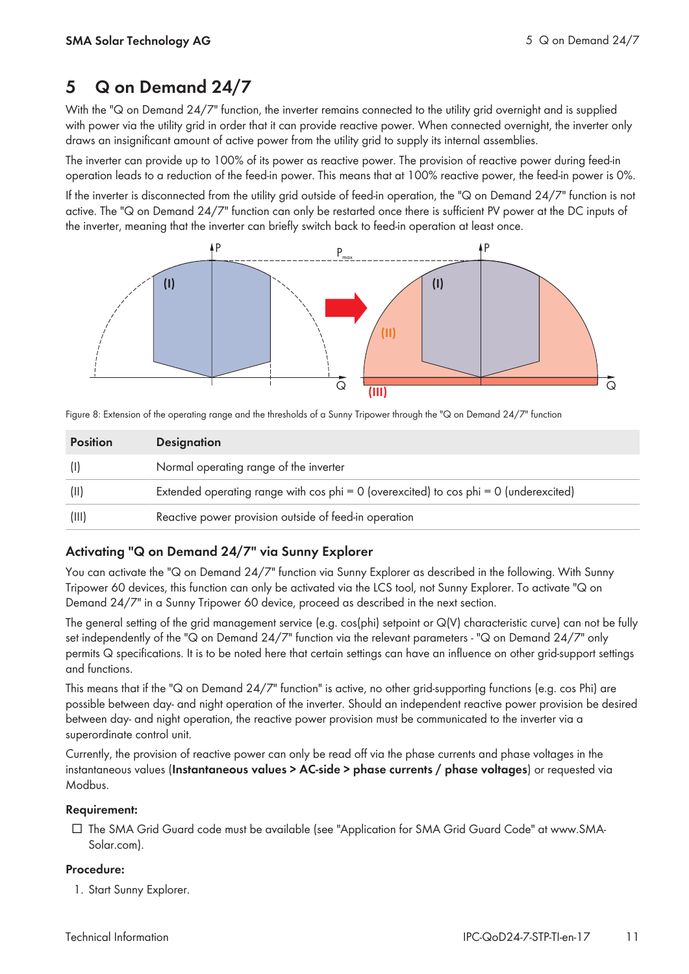## **5 Q on Demand 24/7**

With the "Q on Demand 24/7" function, the inverter remains connected to the utility grid overnight and is supplied with power via the utility grid in order that it can provide reactive power. When connected overnight, the inverter only draws an insignificant amount of active power from the utility grid to supply its internal assemblies.

The inverter can provide up to 100% of its power as reactive power. The provision of reactive power during feed-in operation leads to a reduction of the feed-in power. This means that at 100% reactive power, the feed-in power is 0%.

If the inverter is disconnected from the utility grid outside of feed-in operation, the "Q on Demand 24/7" function is not active. The "Q on Demand 24/7" function can only be restarted once there is sufficient PV power at the DC inputs of the inverter, meaning that the inverter can briefly switch back to feed-in operation at least once.



| Figure 8: Extension of the operating range and the thresholds of a Sunny Tripower through the "Q on Demand 24/7" function |  |  |  |
|---------------------------------------------------------------------------------------------------------------------------|--|--|--|
|---------------------------------------------------------------------------------------------------------------------------|--|--|--|

| <b>Position</b> | <b>Designation</b>                                                                          |
|-----------------|---------------------------------------------------------------------------------------------|
| (1)             | Normal operating range of the inverter                                                      |
| (11)            | Extended operating range with $\cos$ phi = 0 (overexcited) to $\cos$ phi = 0 (underexcited) |
| (III)           | Reactive power provision outside of feed-in operation                                       |

#### **Activating "Q on Demand 24/7" via Sunny Explorer**

You can activate the "Q on Demand 24/7" function via Sunny Explorer as described in the following. With Sunny Tripower 60 devices, this function can only be activated via the LCS tool, not Sunny Explorer. To activate "Q on Demand 24/7" in a Sunny Tripower 60 device, proceed as described in the next section.

The general setting of the grid management service (e.g. cos(phi) setpoint or Q(V) characteristic curve) can not be fully set independently of the "Q on Demand 24/7" function via the relevant parameters - "Q on Demand 24/7" only permits Q specifications. It is to be noted here that certain settings can have an influence on other grid-support settings and functions.

This means that if the "Q on Demand 24/7" function" is active, no other grid-supporting functions (e.g. cos Phi) are possible between day- and night operation of the inverter. Should an independent reactive power provision be desired between day- and night operation, the reactive power provision must be communicated to the inverter via a superordinate control unit.

Currently, the provision of reactive power can only be read off via the phase currents and phase voltages in the instantaneous values (**Instantaneous values > AC-side > phase currents / phase voltages**) or requested via Modbus.

#### **Requirement:**

☐ The SMA Grid Guard code must be available (see "Application for SMA Grid Guard Code" at www.SMA-Solar.com).

#### **Procedure:**

1. Start Sunny Explorer.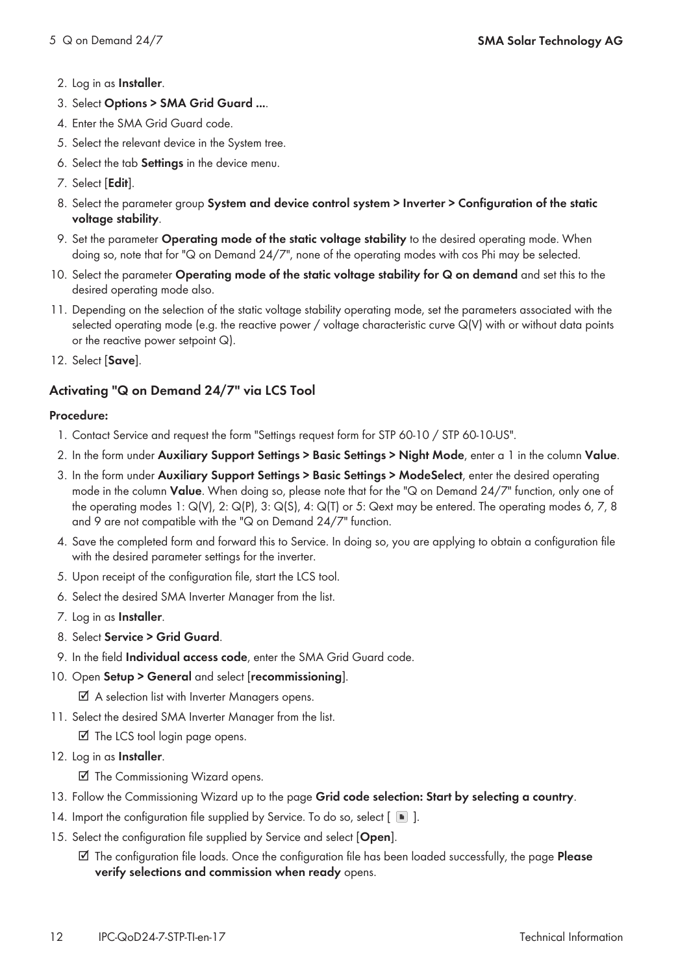#### 2. Log in as **Installer**.

- 3. Select **Options > SMA Grid Guard ...**.
- 4. Enter the SMA Grid Guard code.
- 5. Select the relevant device in the System tree.
- 6. Select the tab **Settings** in the device menu.
- 7. Select [**Edit**].
- 8. Select the parameter group **System and device control system > Inverter > Configuration of the static voltage stability**.
- 9. Set the parameter **Operating mode of the static voltage stability** to the desired operating mode. When doing so, note that for "Q on Demand 24/7", none of the operating modes with cos Phi may be selected.
- 10. Select the parameter **Operating mode of the static voltage stability for Q on demand** and set this to the desired operating mode also.
- 11. Depending on the selection of the static voltage stability operating mode, set the parameters associated with the selected operating mode (e.g. the reactive power / voltage characteristic curve Q(V) with or without data points or the reactive power setpoint Q).
- 12. Select [**Save**].

#### **Activating "Q on Demand 24/7" via LCS Tool**

#### **Procedure:**

- 1. Contact Service and request the form "Settings request form for STP 60-10 / STP 60-10-US".
- 2. In the form under **Auxiliary Support Settings > Basic Settings > Night Mode**, enter a 1 in the column **Value**.
- 3. In the form under **Auxiliary Support Settings > Basic Settings > ModeSelect**, enter the desired operating mode in the column **Value**. When doing so, please note that for the "Q on Demand 24/7" function, only one of the operating modes 1: Q(V), 2: Q(P), 3: Q(S), 4: Q(T) or 5: Qext may be entered. The operating modes 6, 7, 8 and 9 are not compatible with the "Q on Demand 24/7" function.
- 4. Save the completed form and forward this to Service. In doing so, you are applying to obtain a configuration file with the desired parameter settings for the inverter.
- 5. Upon receipt of the configuration file, start the LCS tool.
- 6. Select the desired SMA Inverter Manager from the list.
- 7. Log in as **Installer**.
- 8. Select **Service > Grid Guard**.
- 9. In the field **Individual access code**, enter the SMA Grid Guard code.
- 10. Open **Setup > General** and select [**recommissioning**].

☑ A selection list with Inverter Managers opens.

11. Select the desired SMA Inverter Manager from the list.

☑ The LCS tool login page opens.

12. Log in as **Installer**.

☑ The Commissioning Wizard opens.

- 13. Follow the Commissioning Wizard up to the page **Grid code selection: Start by selecting a country**.
- 14. Import the configuration file supplied by Service. To do so, select  $\lceil \ \blacksquare \rceil$ .
- 15. Select the configuration file supplied by Service and select [**Open**].
	- ☑ The configuration file loads. Once the configuration file has been loaded successfully, the page **Please verify selections and commission when ready** opens.